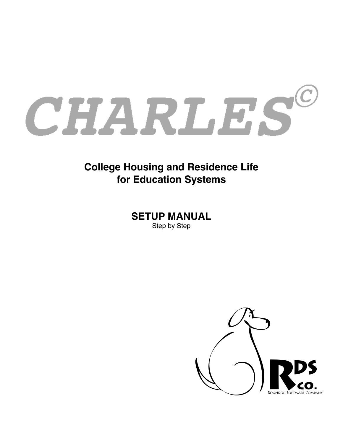

# **College Housing and Residence Life for Education Systems**

**SETUP MANUAL** Step by Step

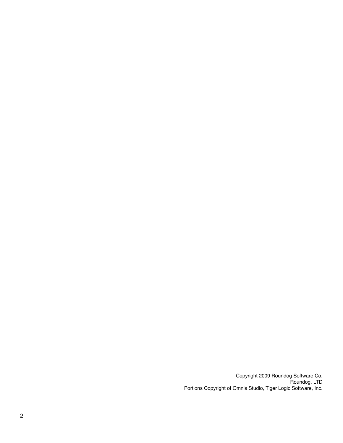Copyright 2009 Roundog Software Co, Roundog, LTD Portions Copyright of Omnis Studio, Tiger Logic Software, Inc.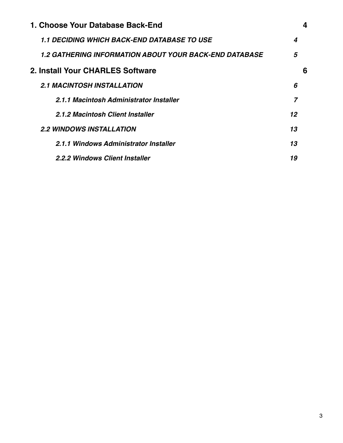| 1. Choose Your Database Back-End                       |    |   |
|--------------------------------------------------------|----|---|
| <b>1.1 DECIDING WHICH BACK-END DATABASE TO USE</b>     | 4  |   |
| 1.2 GATHERING INFORMATION ABOUT YOUR BACK-END DATABASE | 5  |   |
| 2. Install Your CHARLES Software                       |    | 6 |
| <b>2.1 MACINTOSH INSTALLATION</b>                      | 6  |   |
| 2.1.1 Macintosh Administrator Installer                |    |   |
| 2.1.2 Macintosh Client Installer                       | 12 |   |
| <b>2.2 WINDOWS INSTALLATION</b>                        | 13 |   |
| 2.1.1 Windows Administrator Installer                  | 13 |   |
| 2.2.2 Windows Client Installer                         | 19 |   |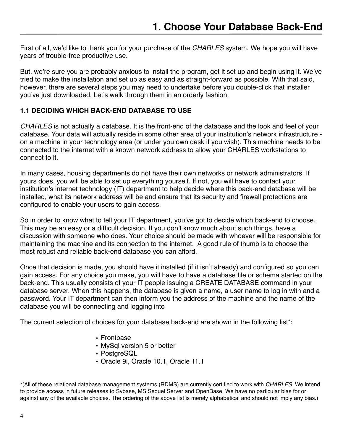<span id="page-4-0"></span>First of all, we'd like to thank you for your purchase of the *CHARLES* system. We hope you will have years of trouble-free productive use.

But, we're sure you are probably anxious to install the program, get it set up and begin using it. We've tried to make the installation and set up as easy and as straight-forward as possible. With that said, however, there are several steps you may need to undertake before you double-click that installer you've just downloaded. Let's walk through them in an orderly fashion.

#### <span id="page-4-1"></span>**1.1 DECIDING WHICH BACK-END DATABASE TO USE**

*CHARLES* is not actually a database. It is the front-end of the database and the look and feel of your database. Your data will actually reside in some other area of your institution's network infrastructure on a machine in your technology area (or under you own desk if you wish). This machine needs to be connected to the internet with a known network address to allow your CHARLES workstations to connect to it.

In many cases, housing departments do not have their own networks or network administrators. If yours does, you will be able to set up everything yourself. If not, you will have to contact your institution's internet technology (IT) department to help decide where this back-end database will be installed, what its network address will be and ensure that its security and firewall protections are configured to enable your users to gain access.

So in order to know what to tell your IT department, you've got to decide which back-end to choose. This may be an easy or a difficult decision. If you don't know much about such things, have a discussion with someone who does. Your choice should be made with whoever will be responsible for maintaining the machine and its connection to the internet. A good rule of thumb is to choose the most robust and reliable back-end database you can afford.

Once that decision is made, you should have it installed (if it isn't already) and configured so you can gain access. For any choice you make, you will have to have a database file or schema started on the back-end. This usually consists of your IT people issuing a CREATE DATABASE command in your database server. When this happens, the database is given a name, a user name to log in with and a password. Your IT department can then inform you the address of the machine and the name of the database you will be connecting and logging into

The current selection of choices for your database back-end are shown in the following list\*:

- Frontbase
- MySql version 5 or better
- PostgreSQL
- Oracle 9i, Oracle 10.1, Oracle 11.1

\*(All of these relational database management systems (RDMS) are currently certified to work with *CHARLES*. We intend to provide access in future releases to Sybase, MS Sequel Server and OpenBase. We have no particular bias for or against any of the available choices. The ordering of the above list is merely alphabetical and should not imply any bias.)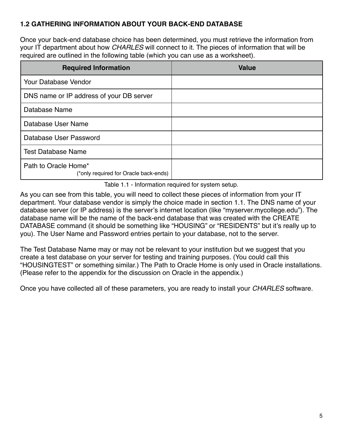## <span id="page-5-0"></span>**1.2 GATHERING INFORMATION ABOUT YOUR BACK-END DATABASE**

Once your back-end database choice has been determined, you must retrieve the information from your IT department about how *CHARLES* will connect to it. The pieces of information that will be required are outlined in the following table (which you can use as a worksheet).

| <b>Required Information</b>                                   | <b>Value</b> |
|---------------------------------------------------------------|--------------|
| Your Database Vendor                                          |              |
| DNS name or IP address of your DB server                      |              |
| Database Name                                                 |              |
| Database User Name                                            |              |
| Database User Password                                        |              |
| <b>Test Database Name</b>                                     |              |
| Path to Oracle Home*<br>(*only required for Oracle back-ends) |              |

Table 1.1 - Information required for system setup.

As you can see from this table, you will need to collect these pieces of information from your IT department. Your database vendor is simply the choice made in section 1.1. The DNS name of your database server (or IP address) is the server's internet location (like "myserver.mycollege.edu"). The database name will be the name of the back-end database that was created with the CREATE DATABASE command (it should be something like "HOUSING" or "RESIDENTS" but it's really up to you). The User Name and Password entries pertain to your database, not to the server.

The Test Database Name may or may not be relevant to your institution but we suggest that you create a test database on your server for testing and training purposes. (You could call this "HOUSINGTEST" or something similar.) The Path to Oracle Home is only used in Oracle installations. (Please refer to the appendix for the discussion on Oracle in the appendix.)

Once you have collected all of these parameters, you are ready to install your *CHARLES* software.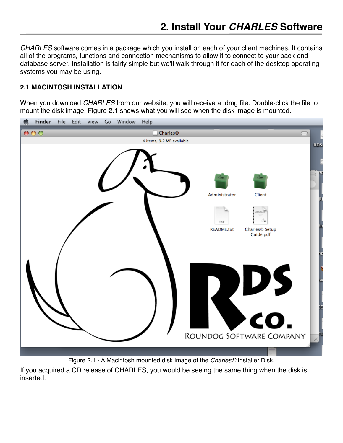<span id="page-6-0"></span>*CHARLES* software comes in a package which you install on each of your client machines. It contains all of the programs, functions and connection mechanisms to allow it to connect to your back-end database server. Installation is fairly simple but we'll walk through it for each of the desktop operating systems you may be using.

#### <span id="page-6-1"></span>**2.1 MACINTOSH INSTALLATION**

When you download *CHARLES* from our website, you will receive a .dmg file. Double-click the file to mount the disk image. Figure 2.1 shows what you will see when the disk image is mounted.



Figure 2.1 - A Macintosh mounted disk image of the *Charles©* Installer Disk.

If you acquired a CD release of CHARLES, you would be seeing the same thing when the disk is inserted.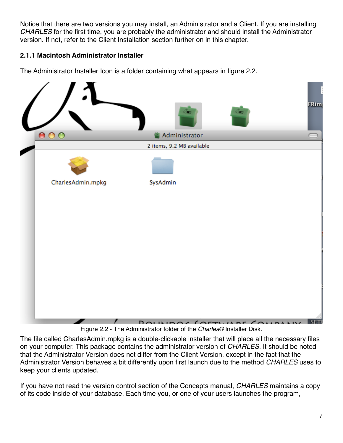Notice that there are two versions you may install, an Administrator and a Client. If you are installing *CHARLES* for the first time, you are probably the administrator and should install the Administrator version. If not, refer to the Client Installation section further on in this chapter.

## <span id="page-7-0"></span>**2.1.1 Macintosh Administrator Installer**

The Administrator Installer Icon is a folder containing what appears in figure 2.2.



Figure 2.2 - The Administrator folder of the *Charles©* Installer Disk.

The file called CharlesAdmin.mpkg is a double-clickable installer that will place all the necessary files on your computer. This package contains the administrator version of *CHARLES*. It should be noted that the Administrator Version does not differ from the Client Version, except in the fact that the Administrator Version behaves a bit differently upon first launch due to the method *CHARLES* uses to keep your clients updated.

If you have not read the version control section of the Concepts manual, *CHARLES* maintains a copy of its code inside of your database. Each time you, or one of your users launches the program,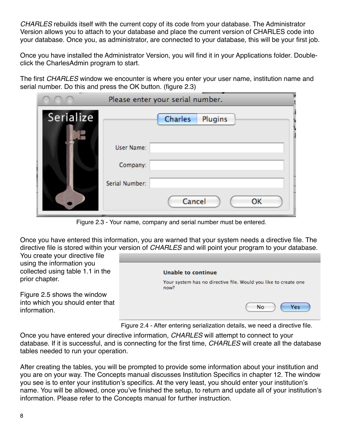*CHARLES* rebuilds itself with the current copy of its code from your database. The Administrator Version allows you to attach to your database and place the current version of CHARLES code into your database. Once you, as administrator, are connected to your database, this will be your first job.

Once you have installed the Administrator Version, you will find it in your Applications folder. Doubleclick the CharlesAdmin program to start.

The first *CHARLES* window we encounter is where you enter your user name, institution name and serial number. Do this and press the OK button. (figure 2.3)

|           | Please enter your serial number. |
|-----------|----------------------------------|
| Serialize | Charles<br>Plugins               |
|           | <b>User Name:</b><br>Company:    |
|           | Serial Number:<br>Cancel<br>ОΚ   |

Figure 2.3 - Your name, company and serial number must be entered.

Once you have entered this information, you are warned that your system needs a directive file. The directive file is stored within your version of *CHARLES* and will point your program to your database.

You create your directive file using the information you collected using table 1.1 in the prior chapter.

Figure 2.5 shows the window into which you should enter that information.

| Unable to continue                                                      |
|-------------------------------------------------------------------------|
| Your system has no directive file. Would you like to create one<br>now? |
| No<br>Yes                                                               |

Figure 2.4 - After entering serialization details, we need a directive file.

Once you have entered your directive information, *CHARLES* will attempt to connect to your database. If it is successful, and is connecting for the first time, *CHARLES* will create all the database tables needed to run your operation.

After creating the tables, you will be prompted to provide some information about your institution and you are on your way. The Concepts manual discusses Institution Specifics in chapter 12. The window you see is to enter your institution's specifics. At the very least, you should enter your institution's name. You will be allowed, once you've finished the setup, to return and update all of your institution's information. Please refer to the Concepts manual for further instruction.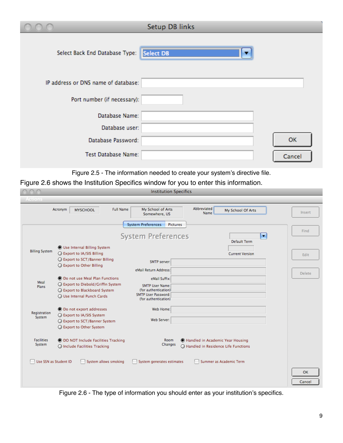|                                     | Setup DB links |  |
|-------------------------------------|----------------|--|
| Select Back End Database Type:      | Select DB<br>▼ |  |
| IP address or DNS name of database: |                |  |
| Port number (if necessary):         |                |  |
| Database Name:                      |                |  |
| Database user:                      |                |  |
| Database Password:                  | <b>OK</b>      |  |
| Test Database Name:                 | Cancel         |  |

Figure 2.5 - The information needed to create your system's directive file.

Figure 2.6 shows the Institution Specifics window for you to enter this information.

|                             | <b>MYSCHOOL</b>                                                                                                                      | My School of Arts<br>Somewhere, US<br><b>System Preferences</b><br><b>Pictures</b>                                                      | <b>Name</b>                                                                 | My School Of Arts              | Insert        |
|-----------------------------|--------------------------------------------------------------------------------------------------------------------------------------|-----------------------------------------------------------------------------------------------------------------------------------------|-----------------------------------------------------------------------------|--------------------------------|---------------|
|                             |                                                                                                                                      | <b>System Preferences</b>                                                                                                               |                                                                             | $\blacksquare$<br>Default Term | Find          |
| <b>Billing System</b>       | <b>O</b> Use Internal Billing System<br>○ Export to IA/SIS Billing<br>◯ Export to SCT/Banner Billing<br>○ Export to Other Billing    | SMTP server:                                                                                                                            |                                                                             | <b>Current Version</b>         | Edit          |
| Meal<br>Plans               | to Do not use Meal Plan Functions<br>◯ Export to Diebold/Griffin System<br>Export to Blackboard System<br>O Use Internal Punch Cards | eMail Return Address:<br>eMail Suffix:<br><b>SMTP User Name:</b><br>(for authentication)<br>SMTP User Password:<br>(for authentication) |                                                                             |                                | <b>Delete</b> |
| Registration<br>System      | to Do not export addresses<br>○ Export to IA/SIS System<br>◯ Export to SCT/Banner System<br>○ Export to Other System                 | Web Home:<br>Web Server:                                                                                                                |                                                                             |                                |               |
| <b>Facilities</b><br>System | <b>OD DO NOT Include Facilities Tracking</b><br>◯ Include Facilities Tracking                                                        | <b>Room</b><br>Changes                                                                                                                  | C Handled in Academic Year Housing<br>◯ Handled in Residence Life Functions |                                |               |
| Use SSN as Student ID       | System allows smoking                                                                                                                | System generates estimates                                                                                                              |                                                                             | Summer as Academic Term        | <b>OK</b>     |

Figure 2.6 - The type of information you should enter as your institution's specifics.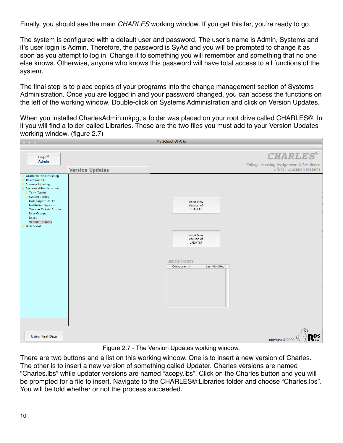Finally, you should see the main *CHARLES* working window. If you get this far, you're ready to go.

The system is configured with a default user and password. The user's name is Admin, Systems and it's user login is Admin. Therefore, the password is SyAd and you will be prompted to change it as soon as you attempt to log in. Change it to something you will remember and something that no one else knows. Otherwise, anyone who knows this password will have total access to all functions of the system.

The final step is to place copies of your programs into the change management section of Systems Administration. Once you are logged in and your password changed, you can access the functions on the left of the working window. Double-click on Systems Administration and click on Version Updates.

When you installed CharlesAdmin.mkpg, a folder was placed on your root drive called CHARLES©. In it you will find a folder called Libraries. These are the two files you must add to your Version Updates working window. (figure 2.7)

|                                                                                                                                                                                                                                                                                                                             |                        | My School Of Arts                                                                                                                                                    |                                                                      |
|-----------------------------------------------------------------------------------------------------------------------------------------------------------------------------------------------------------------------------------------------------------------------------------------------------------------------------|------------------------|----------------------------------------------------------------------------------------------------------------------------------------------------------------------|----------------------------------------------------------------------|
|                                                                                                                                                                                                                                                                                                                             |                        |                                                                                                                                                                      |                                                                      |
| Logoff<br>Admin                                                                                                                                                                                                                                                                                                             |                        |                                                                                                                                                                      | <b>CHARLES®</b>                                                      |
|                                                                                                                                                                                                                                                                                                                             | <b>Version Updates</b> |                                                                                                                                                                      | College Housing Assignment & Residence<br>Life for Education Systems |
| <b>Academic Year Housing</b><br><b>Residence Life</b><br><b>Summer Housing</b><br><b>Systems Administration</b><br><b>Term Tables</b><br><b>System Tables</b><br>Data Import Utility<br><b>Institution Specifics</b><br>Trouble Tickets Admin<br><b>User Groups</b><br>Users<br><b>Version Updates</b><br><b>Web Portal</b> |                        | <b>Insert New</b><br>Version of<br><b>CHARLES</b><br><b>Insert New</b><br>Verison of<br><b>UPDATER</b><br><b>Update History</b><br><b>Last Modified</b><br>Component |                                                                      |
| <b>Using Real Data</b>                                                                                                                                                                                                                                                                                                      |                        |                                                                                                                                                                      | copyright ® 2009                                                     |

Figure 2.7 - The Version Updates working window.

There are two buttons and a list on this working window. One is to insert a new version of Charles. The other is to insert a new version of something called Updater. Charles versions are named "Charles.lbs" while updater versions are named "acopy.lbs". Click on the Charles button and you will be prompted for a file to insert. Navigate to the CHARLES©:Libraries folder and choose "Charles.lbs". You will be told whether or not the process succeeded.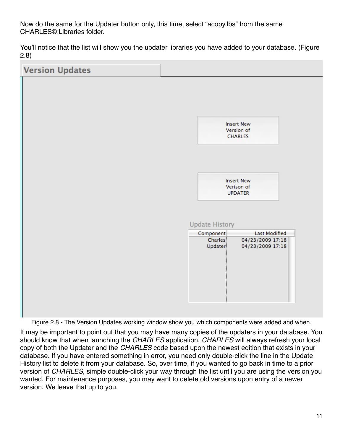Now do the same for the Updater button only, this time, select "acopy.lbs" from the same CHARLES©:Libraries folder.

You'll notice that the list will show you the updater libraries you have added to your database. (Figure 2.8)



It may be important to point out that you may have many copies of the updaters in your database. You should know that when launching the *CHARLES* application, *CHARLES* will always refresh your local copy of both the Updater and the *CHARLES* code based upon the newest edition that exists in your database. If you have entered something in error, you need only double-click the line in the Update History list to delete it from your database. So, over time, if you wanted to go back in time to a prior version of *CHARLES*, simple double-click your way through the list until you are using the version you wanted. For maintenance purposes, you may want to delete old versions upon entry of a newer version. We leave that up to you.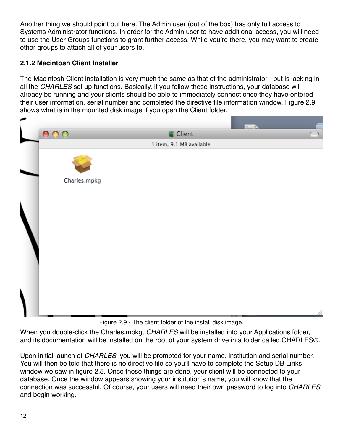Another thing we should point out here. The Admin user (out of the box) has only full access to Systems Administrator functions. In order for the Admin user to have additional access, you will need to use the User Groups functions to grant further access. While you're there, you may want to create other groups to attach all of your users to.

### <span id="page-12-0"></span>**2.1.2 Macintosh Client Installer**

The Macintosh Client installation is very much the same as that of the administrator - but is lacking in all the *CHARLES* set up functions. Basically, if you follow these instructions, your database will already be running and your clients should be able to immediately connect once they have entered their user information, serial number and completed the directive file information window. Figure 2.9 shows what is in the mounted disk image if you open the Client folder.



Figure 2.9 - The client folder of the install disk image.

When you double-click the Charles.mpkg, *CHARLES* will be installed into your Applications folder, and its documentation will be installed on the root of your system drive in a folder called CHARLES©.

Upon initial launch of *CHARLES*, you will be prompted for your name, institution and serial number. You will then be told that there is no directive file so you'll have to complete the Setup DB Links window we saw in figure 2.5. Once these things are done, your client will be connected to your database. Once the window appears showing your institution's name, you will know that the connection was successful. Of course, your users will need their own password to log into *CHARLES* and begin working.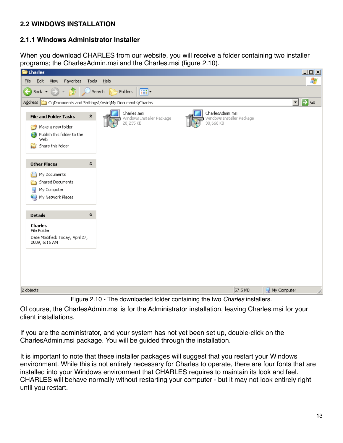# <span id="page-13-0"></span>**2.2 WINDOWS INSTALLATION**

#### <span id="page-13-1"></span>**2.1.1 Windows Administrator Installer**

When you download CHARLES from our website, you will receive a folder containing two installer programs; the CharlesAdmin.msi and the Charles.msi (figure 2.10).



Figure 2.10 - The downloaded folder containing the two *Charles* installers.

Of course, the CharlesAdmin.msi is for the Administrator installation, leaving Charles.msi for your client installations.

If you are the administrator, and your system has not yet been set up, double-click on the CharlesAdmin.msi package. You will be guided through the installation.

It is important to note that these installer packages will suggest that you restart your Windows environment. While this is not entirely necessary for Charles to operate, there are four fonts that are installed into your Windows environment that CHARLES requires to maintain its look and feel. CHARLES will behave normally without restarting your computer - but it may not look entirely right until you restart.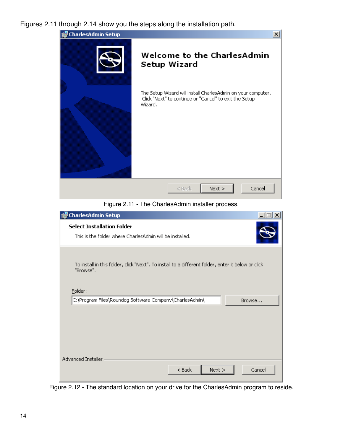Figures 2.11 through 2.14 show you the steps along the installation path.



Figure 2.11 - The CharlesAdmin installer process.

| CharlesAdmin Setup                                                                                              |        |
|-----------------------------------------------------------------------------------------------------------------|--------|
| <b>Select Installation Folder</b><br>This is the folder where CharlesAdmin will be installed.                   |        |
| To install in this folder, click "Next". To install to a different folder, enter it below or click<br>"Browse". |        |
| Folder:                                                                                                         |        |
| C:\Program Files\Roundog Software Company\CharlesAdmin\<br>Browse                                               |        |
|                                                                                                                 |        |
|                                                                                                                 |        |
|                                                                                                                 |        |
| Advanced Installer<br>Next<br>$<$ Back                                                                          | Cancel |

Figure 2.12 - The standard location on your drive for the CharlesAdmin program to reside.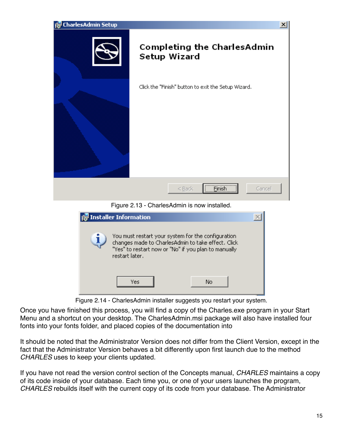

| <b>Installer</b> Information                                                                                                                                                       |  |
|------------------------------------------------------------------------------------------------------------------------------------------------------------------------------------|--|
| You must restart your system for the configuration<br>changes made to CharlesAdmin to take effect. Click<br>"Yes" to restart now or "No" if you plan to manually<br>restart later. |  |
| No<br>Yes                                                                                                                                                                          |  |

Figure 2.14 - CharlesAdmin installer suggests you restart your system.

Once you have finished this process, you will find a copy of the Charles.exe program in your Start Menu and a shortcut on your desktop. The CharlesAdmin.msi package will also have installed four fonts into your fonts folder, and placed copies of the documentation into

It should be noted that the Administrator Version does not differ from the Client Version, except in the fact that the Administrator Version behaves a bit differently upon first launch due to the method *CHARLES* uses to keep your clients updated.

If you have not read the version control section of the Concepts manual, *CHARLES* maintains a copy of its code inside of your database. Each time you, or one of your users launches the program, *CHARLES* rebuilds itself with the current copy of its code from your database. The Administrator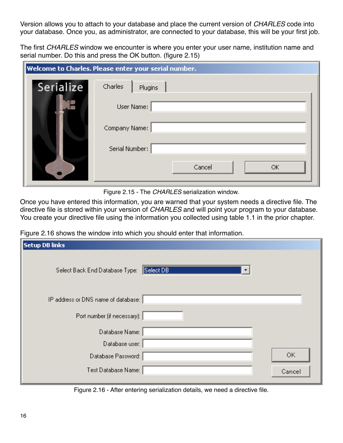Version allows you to attach to your database and place the current version of *CHARLES* code into your database. Once you, as administrator, are connected to your database, this will be your first job.

The first *CHARLES* window we encounter is where you enter your user name, institution name and serial number. Do this and press the OK button. (figure 2.15)

|           | Welcome to Charles. Please enter your serial number. |
|-----------|------------------------------------------------------|
| Serialize | Charles<br>Plugins                                   |
|           | User Name:                                           |
|           | Company Name:                                        |
|           | Serial Number:                                       |
|           | Cancel<br>OK.                                        |

Figure 2.15 - The *CHARLES* serialization window.

Once you have entered this information, you are warned that your system needs a directive file. The directive file is stored within your version of *CHARLES* and will point your program to your database. You create your directive file using the information you collected using table 1.1 in the prior chapter.

Figure 2.16 shows the window into which you should enter that information.

| <b>Setup DB links</b>               |                |        |
|-------------------------------------|----------------|--------|
| Select Back End Database Type:      | Select DB<br>▼ |        |
| IP address or DNS name of database: |                |        |
| Port number (if necessary):         |                |        |
| Database Name:                      |                |        |
| Database user:                      |                |        |
| Database Password:                  |                | 0K     |
| Test Database Name:                 |                | Cancel |

Figure 2.16 - After entering serialization details, we need a directive file.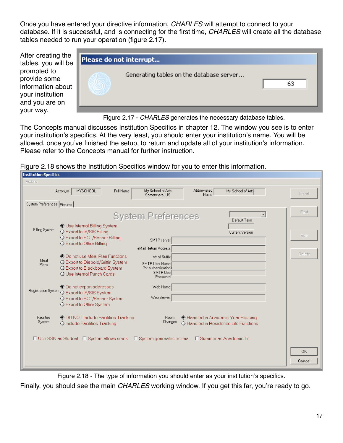Once you have entered your directive information, *CHARLES* will attempt to connect to your database. If it is successful, and is connecting for the first time, *CHARLES* will create all the database tables needed to run your operation (figure 2.17).

After creating the tables, you will be prompted to provide some information about your institution and you are on your way.



Figure 2.17 - *CHARLES* generates the necessary database tables.

The Concepts manual discusses Institution Specifics in chapter 12. The window you see is to enter your institution's specifics. At the very least, you should enter your institution's name. You will be allowed, once you've finished the setup, to return and update all of your institution's information. Please refer to the Concepts manual for further instruction.

Figure 2.18 shows the Institution Specifics window for you to enter this information.

|                             | MYSCHOOL<br>Acronym                                                                                                                     | Full Name | My School of Arts<br>Somewhere, US                                                 | Abbreviated<br>Name                                                         | My School of Arts                                           | Insert              |
|-----------------------------|-----------------------------------------------------------------------------------------------------------------------------------------|-----------|------------------------------------------------------------------------------------|-----------------------------------------------------------------------------|-------------------------------------------------------------|---------------------|
| System Preferences Pictures |                                                                                                                                         |           |                                                                                    |                                                                             |                                                             |                     |
| <b>Billing System</b>       | <b>O</b> Use Internal Billing System<br>O Export to IA/SIS Billing<br>○ Export to SCT/Banner Billing<br>○ Export to Other Billing       |           | <b>System Preferences</b><br>SMTP server:<br>eMail Return Address:                 |                                                                             | $\overline{\phantom{a}}$<br>Default Term<br>Current Version | Find<br>Edit        |
| Meal<br>Plans               | © Do not use Meal Plan Functions<br>O Export to Diebold/Griffin System<br>O Export to Blackboard System<br>O Use Internal Punch Cards   |           | eMail Suffix:<br>SMTP User Name:<br>(for authentication)<br>SMTP User<br>Password: |                                                                             |                                                             | <b>Delete</b>       |
|                             | © Do not export addresses<br>Registration System O Export to IA/SIS System<br>O Export to SCT/Banner System<br>O Export to Other System |           | Web Home:<br>Web Server:                                                           |                                                                             |                                                             |                     |
| Facilities<br>System        | C DO NOT Include Facilities Tracking<br>O Include Facilities Tracking                                                                   |           | <b>Room</b><br>Changes                                                             | C Handled in Academic Year Housing<br>O Handled in Residence Life Functions |                                                             |                     |
|                             | □ Use SSN as Student □ System allows smok □ System generates estime □ Summer as Academic Te                                             |           |                                                                                    |                                                                             |                                                             | <b>OK</b><br>Cancel |

Figure 2.18 - The type of information you should enter as your institution's specifics.

Finally, you should see the main *CHARLES* working window. If you get this far, you're ready to go.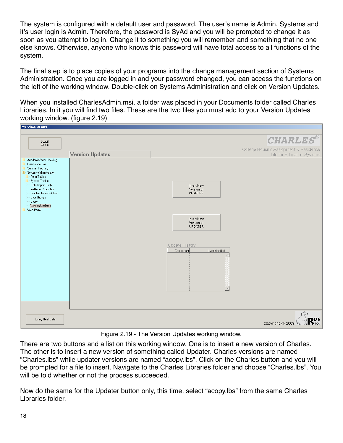The system is configured with a default user and password. The user's name is Admin, Systems and it's user login is Admin. Therefore, the password is SyAd and you will be prompted to change it as soon as you attempt to log in. Change it to something you will remember and something that no one else knows. Otherwise, anyone who knows this password will have total access to all functions of the system.

The final step is to place copies of your programs into the change management section of Systems Administration. Once you are logged in and your password changed, you can access the functions on the left of the working window. Double-click on Systems Administration and click on Version Updates.

When you installed CharlesAdmin.msi, a folder was placed in your Documents folder called Charles Libraries. In it you will find two files. These are the two files you must add to your Version Updates working window. (figure 2.19)

| My School of Arts                                                                                                                                                                                                                                              |                        |                                                                                                                                                                          |                                                                                         |
|----------------------------------------------------------------------------------------------------------------------------------------------------------------------------------------------------------------------------------------------------------------|------------------------|--------------------------------------------------------------------------------------------------------------------------------------------------------------------------|-----------------------------------------------------------------------------------------|
| Logoff<br>Admin                                                                                                                                                                                                                                                | <b>Version Updates</b> |                                                                                                                                                                          | <b>CHARLES®</b><br>College Housing Assignment & Residence<br>Life for Education Systems |
| Academic Year Housing<br>Residence Life<br>Summer Housing<br>Systems Administration<br>- Term Tables<br>System Tables<br>Data Import Utility<br>Institution Specifics<br>Trouble Tickets Admin<br>User Groups<br>Users<br>Version Updates<br><b>Web Portal</b> |                        | Insert New<br>Version of<br><b>CHARLES</b><br>Insert New<br>Verison of<br><b>UPDATER</b><br>Update History<br>Last Modified<br>Component<br>A<br>$\overline{\mathbf{v}}$ |                                                                                         |
| Using Real Data                                                                                                                                                                                                                                                |                        |                                                                                                                                                                          | DS<br>copyright $\otimes$ 2009<br>$\sum_{i=1}^{n}$                                      |

Figure 2.19 - The Version Updates working window.

There are two buttons and a list on this working window. One is to insert a new version of Charles. The other is to insert a new version of something called Updater. Charles versions are named "Charles.lbs" while updater versions are named "acopy.lbs". Click on the Charles button and you will be prompted for a file to insert. Navigate to the Charles Libraries folder and choose "Charles.lbs". You will be told whether or not the process succeeded.

Now do the same for the Updater button only, this time, select "acopy.lbs" from the same Charles Libraries folder.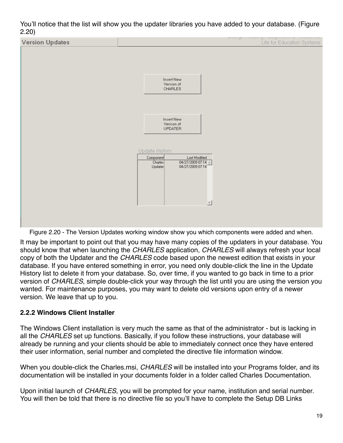You'll notice that the list will show you the updater libraries you have added to your database. (Figure 2.20)



Figure 2.20 - The Version Updates working window show you which components were added and when.

It may be important to point out that you may have many copies of the updaters in your database. You should know that when launching the *CHARLES* application, *CHARLES* will always refresh your local copy of both the Updater and the *CHARLES* code based upon the newest edition that exists in your database. If you have entered something in error, you need only double-click the line in the Update History list to delete it from your database. So, over time, if you wanted to go back in time to a prior version of *CHARLES*, simple double-click your way through the list until you are using the version you wanted. For maintenance purposes, you may want to delete old versions upon entry of a newer version. We leave that up to you.

## <span id="page-19-0"></span>**2.2.2 Windows Client Installer**

The Windows Client installation is very much the same as that of the administrator - but is lacking in all the *CHARLES* set up functions. Basically, if you follow these instructions, your database will already be running and your clients should be able to immediately connect once they have entered their user information, serial number and completed the directive file information window.

When you double-click the Charles.msi, *CHARLES* will be installed into your Programs folder, and its documentation will be installed in your documents folder in a folder called Charles Documentation.

Upon initial launch of *CHARLES*, you will be prompted for your name, institution and serial number. You will then be told that there is no directive file so you'll have to complete the Setup DB Links